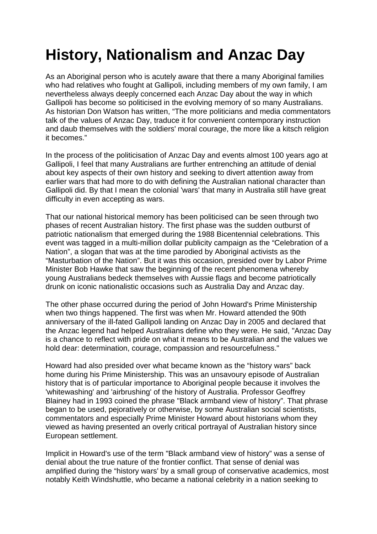## **History, Nationalism and Anzac Day**

As an Aboriginal person who is acutely aware that there a many Aboriginal families who had relatives who fought at Gallipoli, including members of my own family, I am nevertheless always deeply concerned each Anzac Day about the way in which Gallipoli has become so politicised in the evolving memory of so many Australians. As historian Don Watson has written, "The more politicians and media commentators talk of the values of Anzac Day, traduce it for convenient contemporary instruction and daub themselves with the soldiers' moral courage, the more like a kitsch religion it becomes."

In the process of the politicisation of Anzac Day and events almost 100 years ago at Gallipoli, I feel that many Australians are further entrenching an attitude of denial about key aspects of their own history and seeking to divert attention away from earlier wars that had more to do with defining the Australian national character than Gallipoli did. By that I mean the colonial 'wars' that many in Australia still have great difficulty in even accepting as wars.

That our national historical memory has been politicised can be seen through two phases of recent Australian history. The first phase was the sudden outburst of patriotic nationalism that emerged during the 1988 Bicentennial celebrations. This event was tagged in a multi-million dollar publicity campaign as the "Celebration of a Nation", a slogan that was at the time parodied by Aboriginal activists as the "Masturbation of the Nation". But it was this occasion, presided over by Labor Prime Minister Bob Hawke that saw the beginning of the recent phenomena whereby young Australians bedeck themselves with Aussie flags and become patriotically drunk on iconic nationalistic occasions such as Australia Day and Anzac day.

The other phase occurred during the period of John Howard's Prime Ministership when two things happened. The first was when Mr. Howard attended the 90th anniversary of the ill-fated Gallipoli landing on Anzac Day in 2005 and declared that the Anzac legend had helped Australians define who they were. He said, "Anzac Day is a chance to reflect with pride on what it means to be Australian and the values we hold dear: determination, courage, compassion and resourcefulness."

Howard had also presided over what became known as the "history wars" back home during his Prime Ministership. This was an unsavoury episode of Australian history that is of particular importance to Aboriginal people because it involves the 'whitewashing' and 'airbrushing' of the history of Australia. Professor Geoffrey Blainey had in 1993 coined the phrase "Black armband view of history". That phrase began to be used, pejoratively or otherwise, by some Australian social scientists, commentators and especially Prime Minister Howard about historians whom they viewed as having presented an overly critical portrayal of Australian history since European settlement.

Implicit in Howard's use of the term "Black armband view of history" was a sense of denial about the true nature of the frontier conflict. That sense of denial was amplified during the "history wars' by a small group of conservative academics, most notably Keith Windshuttle, who became a national celebrity in a nation seeking to